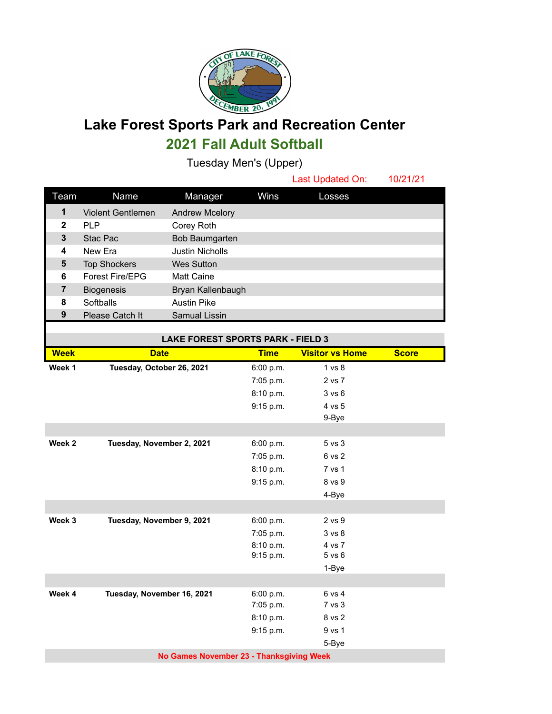

## **Lake Forest Sports Park and Recreation Center 2021 Fall Adult Softball**

Tuesday Men's (Upper)

|              |                          |                        |      | Last Updated On: | 10/21/21 |
|--------------|--------------------------|------------------------|------|------------------|----------|
| Team         | Name                     | Manager                | Wins | Losses           |          |
| 1            | <b>Violent Gentlemen</b> | <b>Andrew Mcelory</b>  |      |                  |          |
| $\mathbf{2}$ | <b>PLP</b>               | Corey Roth             |      |                  |          |
| 3            | Stac Pac                 | Bob Baumgarten         |      |                  |          |
| 4            | New Era                  | <b>Justin Nicholls</b> |      |                  |          |
| 5            | <b>Top Shockers</b>      | Wes Sutton             |      |                  |          |
| 6            | <b>Forest Fire/EPG</b>   | <b>Matt Caine</b>      |      |                  |          |
| 7            | <b>Biogenesis</b>        | Bryan Kallenbaugh      |      |                  |          |
| 8            | Softballs                | <b>Austin Pike</b>     |      |                  |          |
| 9            | Please Catch It          | <b>Samual Lissin</b>   |      |                  |          |

| <b>LAKE FOREST SPORTS PARK - FIELD 3</b> |                            |             |                        |              |  |  |  |  |
|------------------------------------------|----------------------------|-------------|------------------------|--------------|--|--|--|--|
| <b>Week</b>                              | <b>Date</b>                | <b>Time</b> | <b>Visitor vs Home</b> | <b>Score</b> |  |  |  |  |
| Week 1                                   | Tuesday, October 26, 2021  | 6:00 p.m.   | 1 vs 8                 |              |  |  |  |  |
|                                          |                            | 7:05 p.m.   | 2 vs 7                 |              |  |  |  |  |
|                                          |                            | 8:10 p.m.   | 3 v s 6                |              |  |  |  |  |
|                                          |                            | 9:15 p.m.   | 4 vs 5                 |              |  |  |  |  |
|                                          |                            |             | 9-Bye                  |              |  |  |  |  |
|                                          |                            |             |                        |              |  |  |  |  |
| Week 2                                   | Tuesday, November 2, 2021  | 6:00 p.m.   | 5 vs 3                 |              |  |  |  |  |
|                                          |                            | 7:05 p.m.   | 6 vs 2                 |              |  |  |  |  |
|                                          |                            | 8:10 p.m.   | 7 vs 1                 |              |  |  |  |  |
|                                          |                            | 9:15 p.m.   | 8 vs 9                 |              |  |  |  |  |
|                                          |                            |             | 4-Bye                  |              |  |  |  |  |
|                                          |                            |             |                        |              |  |  |  |  |
| Week 3                                   | Tuesday, November 9, 2021  | 6:00 p.m.   | 2 vs 9                 |              |  |  |  |  |
|                                          |                            | 7:05 p.m.   | 3 vs 8                 |              |  |  |  |  |
|                                          |                            | 8:10 p.m.   | 4 vs 7                 |              |  |  |  |  |
|                                          |                            | 9:15 p.m.   | $5$ vs $6$             |              |  |  |  |  |
|                                          |                            |             | 1-Bye                  |              |  |  |  |  |
|                                          |                            |             |                        |              |  |  |  |  |
| Week 4                                   | Tuesday, November 16, 2021 | 6:00 p.m.   | 6 vs 4                 |              |  |  |  |  |
|                                          |                            | 7:05 p.m.   | 7 vs 3                 |              |  |  |  |  |
|                                          |                            | 8:10 p.m.   | 8 vs 2                 |              |  |  |  |  |
|                                          |                            | 9:15 p.m.   | 9 vs 1                 |              |  |  |  |  |
|                                          |                            |             | 5-Bye                  |              |  |  |  |  |
| No Games November 23 - Thanksgiving Week |                            |             |                        |              |  |  |  |  |
|                                          |                            |             |                        |              |  |  |  |  |